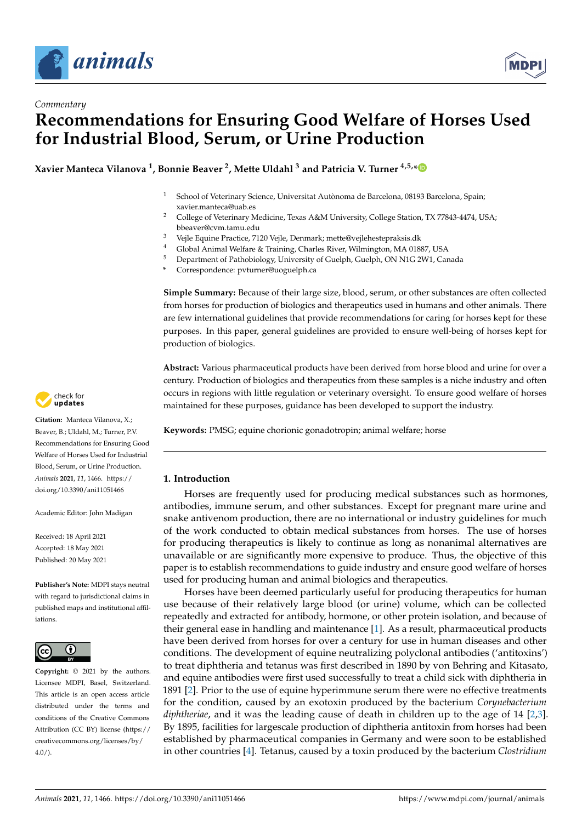

*Commentary*



# **Recommendations for Ensuring Good Welfare of Horses Used for Industrial Blood, Serum, or Urine Production**

**Xavier Manteca Vilanova <sup>1</sup> , Bonnie Beaver <sup>2</sup> , Mette Uldahl <sup>3</sup> and Patricia V. Turner 4,5,[\\*](https://orcid.org/0000-0003-1547-0139)**

- <sup>1</sup> School of Veterinary Science, Universitat Autònoma de Barcelona, 08193 Barcelona, Spain; xavier.manteca@uab.es
- <sup>2</sup> College of Veterinary Medicine, Texas A&M University, College Station, TX 77843-4474, USA; bbeaver@cvm.tamu.edu
- <sup>3</sup> Vejle Equine Practice, 7120 Vejle, Denmark; mette@vejlehestepraksis.dk
- <sup>4</sup> Global Animal Welfare & Training, Charles River, Wilmington, MA 01887, USA
- <sup>5</sup> Department of Pathobiology, University of Guelph, Guelph, ON N1G 2W1, Canada
- **\*** Correspondence: pvturner@uoguelph.ca

**Simple Summary:** Because of their large size, blood, serum, or other substances are often collected from horses for production of biologics and therapeutics used in humans and other animals. There are few international guidelines that provide recommendations for caring for horses kept for these purposes. In this paper, general guidelines are provided to ensure well-being of horses kept for production of biologics.

**Abstract:** Various pharmaceutical products have been derived from horse blood and urine for over a century. Production of biologics and therapeutics from these samples is a niche industry and often occurs in regions with little regulation or veterinary oversight. To ensure good welfare of horses maintained for these purposes, guidance has been developed to support the industry.

**Keywords:** PMSG; equine chorionic gonadotropin; animal welfare; horse

# **1. Introduction**

Horses are frequently used for producing medical substances such as hormones, antibodies, immune serum, and other substances. Except for pregnant mare urine and snake antivenom production, there are no international or industry guidelines for much of the work conducted to obtain medical substances from horses. The use of horses for producing therapeutics is likely to continue as long as nonanimal alternatives are unavailable or are significantly more expensive to produce. Thus, the objective of this paper is to establish recommendations to guide industry and ensure good welfare of horses used for producing human and animal biologics and therapeutics.

Horses have been deemed particularly useful for producing therapeutics for human use because of their relatively large blood (or urine) volume, which can be collected repeatedly and extracted for antibody, hormone, or other protein isolation, and because of their general ease in handling and maintenance [\[1\]](#page-7-0). As a result, pharmaceutical products have been derived from horses for over a century for use in human diseases and other conditions. The development of equine neutralizing polyclonal antibodies ('antitoxins') to treat diphtheria and tetanus was first described in 1890 by von Behring and Kitasato, and equine antibodies were first used successfully to treat a child sick with diphtheria in 1891 [\[2\]](#page-7-1). Prior to the use of equine hyperimmune serum there were no effective treatments for the condition, caused by an exotoxin produced by the bacterium *Corynebacterium diphtheriae*, and it was the leading cause of death in children up to the age of 14 [\[2,](#page-7-1)[3\]](#page-7-2). By 1895, facilities for largescale production of diphtheria antitoxin from horses had been established by pharmaceutical companies in Germany and were soon to be established in other countries [\[4\]](#page-7-3). Tetanus, caused by a toxin produced by the bacterium *Clostridium*



**Citation:** Manteca Vilanova, X.; Beaver, B.; Uldahl, M.; Turner, P.V. Recommendations for Ensuring Good Welfare of Horses Used for Industrial Blood, Serum, or Urine Production. *Animals* **2021**, *11*, 1466. [https://](https://doi.org/10.3390/ani11051466) [doi.org/10.3390/ani11051466](https://doi.org/10.3390/ani11051466)

Academic Editor: John Madigan

Received: 18 April 2021 Accepted: 18 May 2021 Published: 20 May 2021

**Publisher's Note:** MDPI stays neutral with regard to jurisdictional claims in published maps and institutional affiliations.



**Copyright:** © 2021 by the authors. Licensee MDPI, Basel, Switzerland. This article is an open access article distributed under the terms and conditions of the Creative Commons Attribution (CC BY) license (https:/[/](https://creativecommons.org/licenses/by/4.0/) [creativecommons.org/licenses/by/](https://creativecommons.org/licenses/by/4.0/) 4.0/).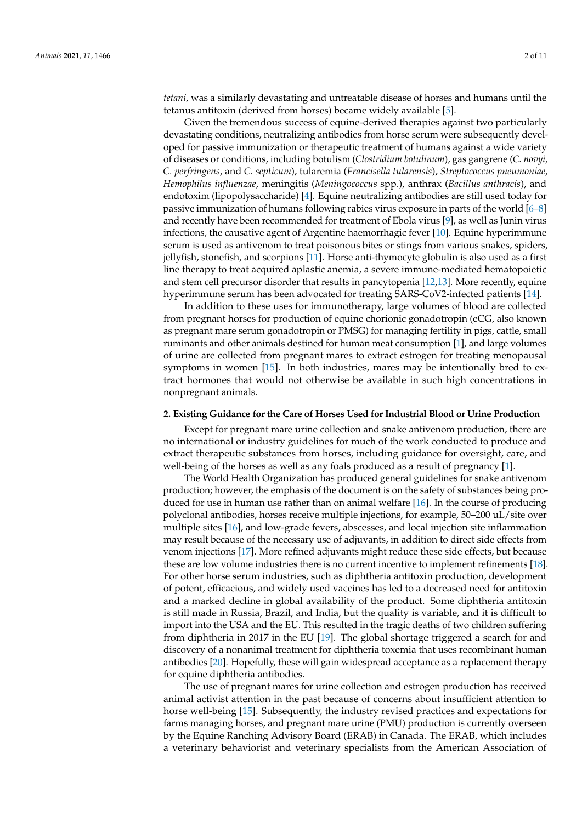*tetani*, was a similarly devastating and untreatable disease of horses and humans until the tetanus antitoxin (derived from horses) became widely available [\[5\]](#page-7-4).

Given the tremendous success of equine-derived therapies against two particularly devastating conditions, neutralizing antibodies from horse serum were subsequently developed for passive immunization or therapeutic treatment of humans against a wide variety of diseases or conditions, including botulism (*Clostridium botulinum*), gas gangrene (*C. novyi, C. perfringens*, and *C. septicum*), tularemia (*Francisella tularensis*), *Streptococcus pneumoniae*, *Hemophilus influenzae*, meningitis (*Meningococcus* spp.), anthrax (*Bacillus anthracis*), and endotoxim (lipopolysaccharide) [\[4\]](#page-7-3). Equine neutralizing antibodies are still used today for passive immunization of humans following rabies virus exposure in parts of the world [\[6](#page-7-5)[–8\]](#page-7-6) and recently have been recommended for treatment of Ebola virus [\[9\]](#page-7-7), as well as Junin virus infections, the causative agent of Argentine haemorrhagic fever [\[10\]](#page-8-0). Equine hyperimmune serum is used as antivenom to treat poisonous bites or stings from various snakes, spiders, jellyfish, stonefish, and scorpions [\[11\]](#page-8-1). Horse anti-thymocyte globulin is also used as a first line therapy to treat acquired aplastic anemia, a severe immune-mediated hematopoietic and stem cell precursor disorder that results in pancytopenia [\[12,](#page-8-2)[13\]](#page-8-3). More recently, equine hyperimmune serum has been advocated for treating SARS-CoV2-infected patients [\[14\]](#page-8-4).

In addition to these uses for immunotherapy, large volumes of blood are collected from pregnant horses for production of equine chorionic gonadotropin (eCG, also known as pregnant mare serum gonadotropin or PMSG) for managing fertility in pigs, cattle, small ruminants and other animals destined for human meat consumption [\[1\]](#page-7-0), and large volumes of urine are collected from pregnant mares to extract estrogen for treating menopausal symptoms in women [\[15\]](#page-8-5). In both industries, mares may be intentionally bred to extract hormones that would not otherwise be available in such high concentrations in nonpregnant animals.

## **2. Existing Guidance for the Care of Horses Used for Industrial Blood or Urine Production**

Except for pregnant mare urine collection and snake antivenom production, there are no international or industry guidelines for much of the work conducted to produce and extract therapeutic substances from horses, including guidance for oversight, care, and well-being of the horses as well as any foals produced as a result of pregnancy [\[1\]](#page-7-0).

The World Health Organization has produced general guidelines for snake antivenom production; however, the emphasis of the document is on the safety of substances being produced for use in human use rather than on animal welfare [\[16\]](#page-8-6). In the course of producing polyclonal antibodies, horses receive multiple injections, for example, 50–200 uL/site over multiple sites [\[16\]](#page-8-6), and low-grade fevers, abscesses, and local injection site inflammation may result because of the necessary use of adjuvants, in addition to direct side effects from venom injections [\[17\]](#page-8-7). More refined adjuvants might reduce these side effects, but because these are low volume industries there is no current incentive to implement refinements [\[18\]](#page-8-8). For other horse serum industries, such as diphtheria antitoxin production, development of potent, efficacious, and widely used vaccines has led to a decreased need for antitoxin and a marked decline in global availability of the product. Some diphtheria antitoxin is still made in Russia, Brazil, and India, but the quality is variable, and it is difficult to import into the USA and the EU. This resulted in the tragic deaths of two children suffering from diphtheria in 2017 in the EU [\[19\]](#page-8-9). The global shortage triggered a search for and discovery of a nonanimal treatment for diphtheria toxemia that uses recombinant human antibodies [\[20\]](#page-8-10). Hopefully, these will gain widespread acceptance as a replacement therapy for equine diphtheria antibodies.

The use of pregnant mares for urine collection and estrogen production has received animal activist attention in the past because of concerns about insufficient attention to horse well-being [\[15\]](#page-8-5). Subsequently, the industry revised practices and expectations for farms managing horses, and pregnant mare urine (PMU) production is currently overseen by the Equine Ranching Advisory Board (ERAB) in Canada. The ERAB, which includes a veterinary behaviorist and veterinary specialists from the American Association of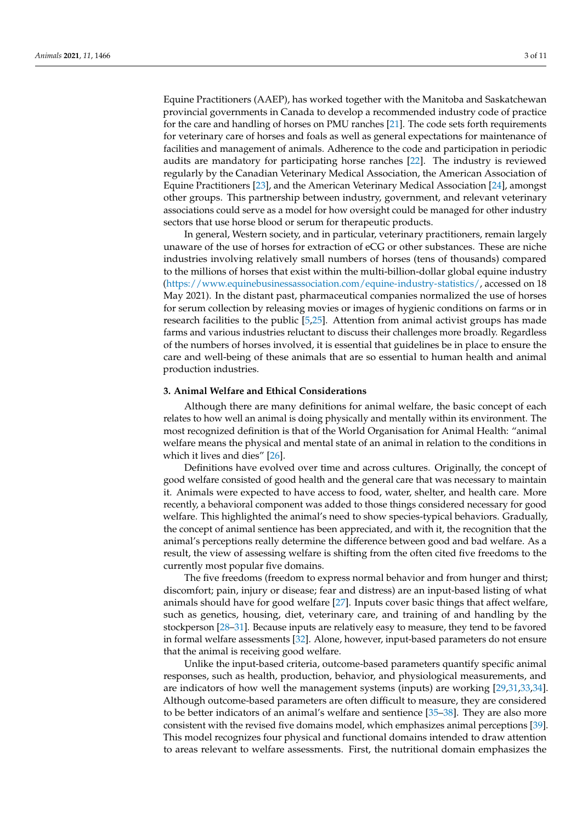Equine Practitioners (AAEP), has worked together with the Manitoba and Saskatchewan provincial governments in Canada to develop a recommended industry code of practice for the care and handling of horses on PMU ranches [\[21\]](#page-8-11). The code sets forth requirements for veterinary care of horses and foals as well as general expectations for maintenance of facilities and management of animals. Adherence to the code and participation in periodic audits are mandatory for participating horse ranches [\[22\]](#page-8-12). The industry is reviewed regularly by the Canadian Veterinary Medical Association, the American Association of Equine Practitioners [\[23\]](#page-8-13), and the American Veterinary Medical Association [\[24\]](#page-8-14), amongst other groups. This partnership between industry, government, and relevant veterinary associations could serve as a model for how oversight could be managed for other industry sectors that use horse blood or serum for therapeutic products.

In general, Western society, and in particular, veterinary practitioners, remain largely unaware of the use of horses for extraction of eCG or other substances. These are niche industries involving relatively small numbers of horses (tens of thousands) compared to the millions of horses that exist within the multi-billion-dollar global equine industry [\(https://www.equinebusinessassociation.com/equine-industry-statistics/,](https://www.equinebusinessassociation.com/equine-industry-statistics/) accessed on 18 May 2021). In the distant past, pharmaceutical companies normalized the use of horses for serum collection by releasing movies or images of hygienic conditions on farms or in research facilities to the public [\[5,](#page-7-4)[25\]](#page-8-15). Attention from animal activist groups has made farms and various industries reluctant to discuss their challenges more broadly. Regardless of the numbers of horses involved, it is essential that guidelines be in place to ensure the care and well-being of these animals that are so essential to human health and animal production industries.

## **3. Animal Welfare and Ethical Considerations**

Although there are many definitions for animal welfare, the basic concept of each relates to how well an animal is doing physically and mentally within its environment. The most recognized definition is that of the World Organisation for Animal Health: "animal welfare means the physical and mental state of an animal in relation to the conditions in which it lives and dies" [\[26\]](#page-8-16).

Definitions have evolved over time and across cultures. Originally, the concept of good welfare consisted of good health and the general care that was necessary to maintain it. Animals were expected to have access to food, water, shelter, and health care. More recently, a behavioral component was added to those things considered necessary for good welfare. This highlighted the animal's need to show species-typical behaviors. Gradually, the concept of animal sentience has been appreciated, and with it, the recognition that the animal's perceptions really determine the difference between good and bad welfare. As a result, the view of assessing welfare is shifting from the often cited five freedoms to the currently most popular five domains.

The five freedoms (freedom to express normal behavior and from hunger and thirst; discomfort; pain, injury or disease; fear and distress) are an input-based listing of what animals should have for good welfare [\[27\]](#page-8-17). Inputs cover basic things that affect welfare, such as genetics, housing, diet, veterinary care, and training of and handling by the stockperson [\[28–](#page-8-18)[31\]](#page-8-19). Because inputs are relatively easy to measure, they tend to be favored in formal welfare assessments [\[32\]](#page-8-20). Alone, however, input-based parameters do not ensure that the animal is receiving good welfare.

Unlike the input-based criteria, outcome-based parameters quantify specific animal responses, such as health, production, behavior, and physiological measurements, and are indicators of how well the management systems (inputs) are working [\[29,](#page-8-21)[31,](#page-8-19)[33,](#page-8-22)[34\]](#page-8-23). Although outcome-based parameters are often difficult to measure, they are considered to be better indicators of an animal's welfare and sentience [\[35–](#page-9-0)[38\]](#page-9-1). They are also more consistent with the revised five domains model, which emphasizes animal perceptions [\[39\]](#page-9-2). This model recognizes four physical and functional domains intended to draw attention to areas relevant to welfare assessments. First, the nutritional domain emphasizes the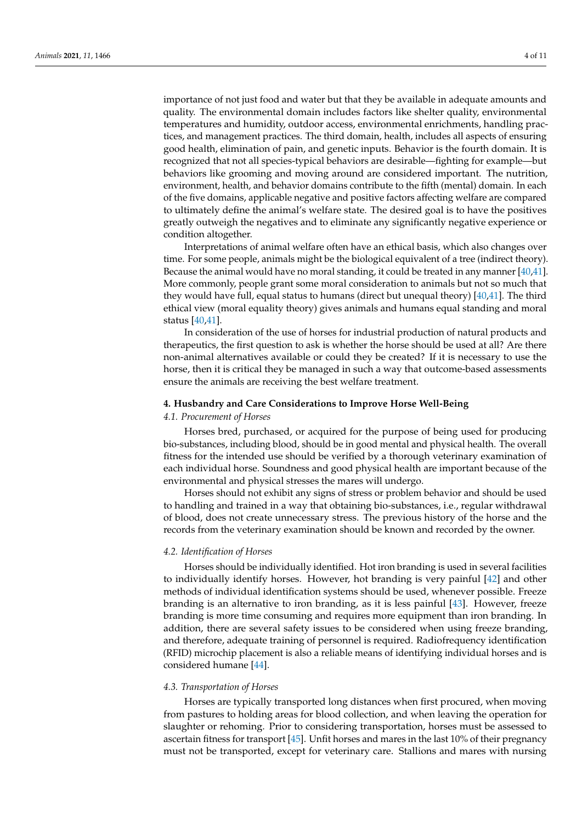importance of not just food and water but that they be available in adequate amounts and quality. The environmental domain includes factors like shelter quality, environmental temperatures and humidity, outdoor access, environmental enrichments, handling practices, and management practices. The third domain, health, includes all aspects of ensuring good health, elimination of pain, and genetic inputs. Behavior is the fourth domain. It is recognized that not all species-typical behaviors are desirable—fighting for example—but behaviors like grooming and moving around are considered important. The nutrition, environment, health, and behavior domains contribute to the fifth (mental) domain. In each of the five domains, applicable negative and positive factors affecting welfare are compared to ultimately define the animal's welfare state. The desired goal is to have the positives greatly outweigh the negatives and to eliminate any significantly negative experience or condition altogether.

Interpretations of animal welfare often have an ethical basis, which also changes over time. For some people, animals might be the biological equivalent of a tree (indirect theory). Because the animal would have no moral standing, it could be treated in any manner [\[40](#page-9-3)[,41\]](#page-9-4). More commonly, people grant some moral consideration to animals but not so much that they would have full, equal status to humans (direct but unequal theory) [\[40,](#page-9-3)[41\]](#page-9-4). The third ethical view (moral equality theory) gives animals and humans equal standing and moral status [\[40](#page-9-3)[,41\]](#page-9-4).

In consideration of the use of horses for industrial production of natural products and therapeutics, the first question to ask is whether the horse should be used at all? Are there non-animal alternatives available or could they be created? If it is necessary to use the horse, then it is critical they be managed in such a way that outcome-based assessments ensure the animals are receiving the best welfare treatment.

#### **4. Husbandry and Care Considerations to Improve Horse Well-Being**

# *4.1. Procurement of Horses*

Horses bred, purchased, or acquired for the purpose of being used for producing bio-substances, including blood, should be in good mental and physical health. The overall fitness for the intended use should be verified by a thorough veterinary examination of each individual horse. Soundness and good physical health are important because of the environmental and physical stresses the mares will undergo.

Horses should not exhibit any signs of stress or problem behavior and should be used to handling and trained in a way that obtaining bio-substances, i.e., regular withdrawal of blood, does not create unnecessary stress. The previous history of the horse and the records from the veterinary examination should be known and recorded by the owner.

#### *4.2. Identification of Horses*

Horses should be individually identified. Hot iron branding is used in several facilities to individually identify horses. However, hot branding is very painful [\[42\]](#page-9-5) and other methods of individual identification systems should be used, whenever possible. Freeze branding is an alternative to iron branding, as it is less painful [\[43\]](#page-9-6). However, freeze branding is more time consuming and requires more equipment than iron branding. In addition, there are several safety issues to be considered when using freeze branding, and therefore, adequate training of personnel is required. Radiofrequency identification (RFID) microchip placement is also a reliable means of identifying individual horses and is considered humane [\[44\]](#page-9-7).

# *4.3. Transportation of Horses*

Horses are typically transported long distances when first procured, when moving from pastures to holding areas for blood collection, and when leaving the operation for slaughter or rehoming. Prior to considering transportation, horses must be assessed to ascertain fitness for transport [\[45\]](#page-9-8). Unfit horses and mares in the last 10% of their pregnancy must not be transported, except for veterinary care. Stallions and mares with nursing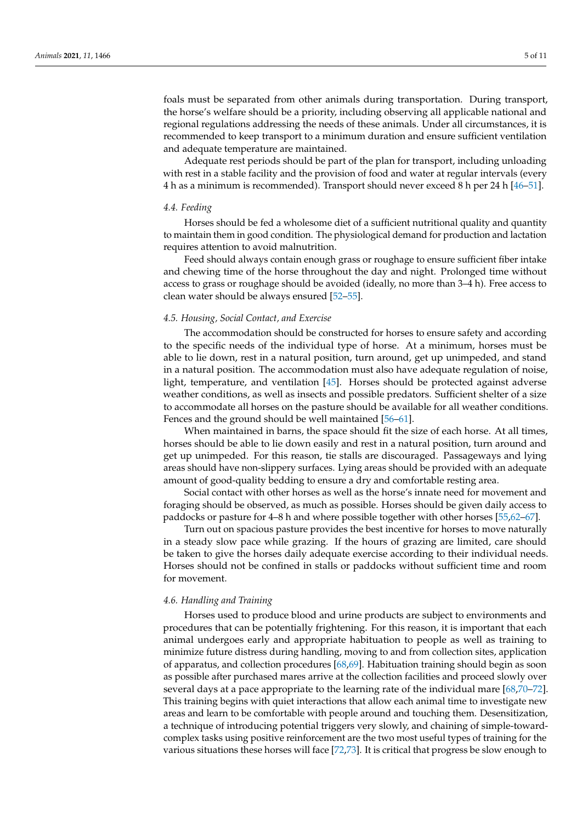foals must be separated from other animals during transportation. During transport, the horse's welfare should be a priority, including observing all applicable national and regional regulations addressing the needs of these animals. Under all circumstances, it is recommended to keep transport to a minimum duration and ensure sufficient ventilation and adequate temperature are maintained.

Adequate rest periods should be part of the plan for transport, including unloading with rest in a stable facility and the provision of food and water at regular intervals (every 4 h as a minimum is recommended). Transport should never exceed 8 h per 24 h [\[46–](#page-9-9)[51\]](#page-9-10).

# *4.4. Feeding*

Horses should be fed a wholesome diet of a sufficient nutritional quality and quantity to maintain them in good condition. The physiological demand for production and lactation requires attention to avoid malnutrition.

Feed should always contain enough grass or roughage to ensure sufficient fiber intake and chewing time of the horse throughout the day and night. Prolonged time without access to grass or roughage should be avoided (ideally, no more than 3–4 h). Free access to clean water should be always ensured [\[52–](#page-9-11)[55\]](#page-9-12).

# *4.5. Housing, Social Contact, and Exercise*

The accommodation should be constructed for horses to ensure safety and according to the specific needs of the individual type of horse. At a minimum, horses must be able to lie down, rest in a natural position, turn around, get up unimpeded, and stand in a natural position. The accommodation must also have adequate regulation of noise, light, temperature, and ventilation [\[45\]](#page-9-8). Horses should be protected against adverse weather conditions, as well as insects and possible predators. Sufficient shelter of a size to accommodate all horses on the pasture should be available for all weather conditions. Fences and the ground should be well maintained [\[56](#page-9-13)[–61\]](#page-9-14).

When maintained in barns, the space should fit the size of each horse. At all times, horses should be able to lie down easily and rest in a natural position, turn around and get up unimpeded. For this reason, tie stalls are discouraged. Passageways and lying areas should have non-slippery surfaces. Lying areas should be provided with an adequate amount of good-quality bedding to ensure a dry and comfortable resting area.

Social contact with other horses as well as the horse's innate need for movement and foraging should be observed, as much as possible. Horses should be given daily access to paddocks or pasture for 4–8 h and where possible together with other horses [\[55](#page-9-12)[,62](#page-9-15)[–67\]](#page-10-0).

Turn out on spacious pasture provides the best incentive for horses to move naturally in a steady slow pace while grazing. If the hours of grazing are limited, care should be taken to give the horses daily adequate exercise according to their individual needs. Horses should not be confined in stalls or paddocks without sufficient time and room for movement.

#### *4.6. Handling and Training*

Horses used to produce blood and urine products are subject to environments and procedures that can be potentially frightening. For this reason, it is important that each animal undergoes early and appropriate habituation to people as well as training to minimize future distress during handling, moving to and from collection sites, application of apparatus, and collection procedures [\[68,](#page-10-1)[69\]](#page-10-2). Habituation training should begin as soon as possible after purchased mares arrive at the collection facilities and proceed slowly over several days at a pace appropriate to the learning rate of the individual mare [\[68,](#page-10-1)[70](#page-10-3)[–72\]](#page-10-4). This training begins with quiet interactions that allow each animal time to investigate new areas and learn to be comfortable with people around and touching them. Desensitization, a technique of introducing potential triggers very slowly, and chaining of simple-towardcomplex tasks using positive reinforcement are the two most useful types of training for the various situations these horses will face [\[72,](#page-10-4)[73\]](#page-10-5). It is critical that progress be slow enough to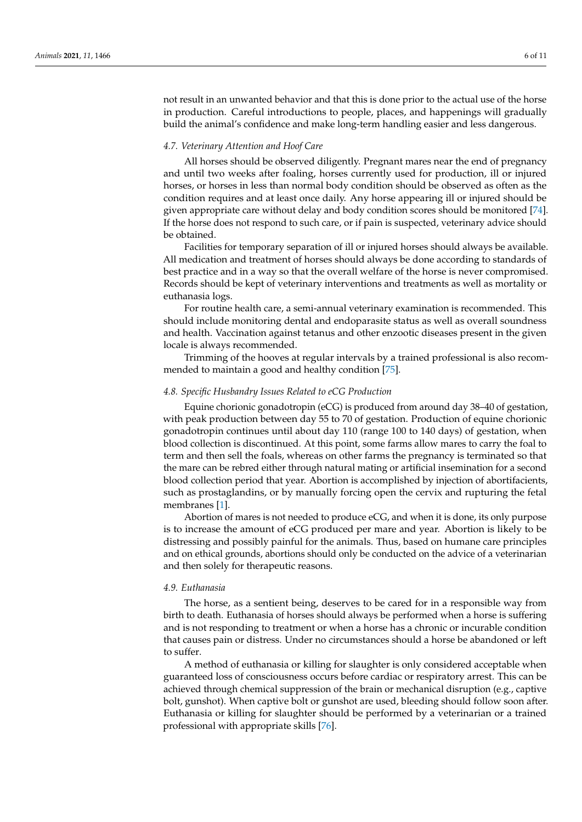not result in an unwanted behavior and that this is done prior to the actual use of the horse in production. Careful introductions to people, places, and happenings will gradually build the animal's confidence and make long-term handling easier and less dangerous.

# *4.7. Veterinary Attention and Hoof Care*

All horses should be observed diligently. Pregnant mares near the end of pregnancy and until two weeks after foaling, horses currently used for production, ill or injured horses, or horses in less than normal body condition should be observed as often as the condition requires and at least once daily. Any horse appearing ill or injured should be given appropriate care without delay and body condition scores should be monitored [\[74\]](#page-10-6). If the horse does not respond to such care, or if pain is suspected, veterinary advice should be obtained.

Facilities for temporary separation of ill or injured horses should always be available. All medication and treatment of horses should always be done according to standards of best practice and in a way so that the overall welfare of the horse is never compromised. Records should be kept of veterinary interventions and treatments as well as mortality or euthanasia logs.

For routine health care, a semi-annual veterinary examination is recommended. This should include monitoring dental and endoparasite status as well as overall soundness and health. Vaccination against tetanus and other enzootic diseases present in the given locale is always recommended.

Trimming of the hooves at regular intervals by a trained professional is also recommended to maintain a good and healthy condition [\[75\]](#page-10-7).

## *4.8. Specific Husbandry Issues Related to eCG Production*

Equine chorionic gonadotropin (eCG) is produced from around day 38–40 of gestation, with peak production between day 55 to 70 of gestation. Production of equine chorionic gonadotropin continues until about day 110 (range 100 to 140 days) of gestation, when blood collection is discontinued. At this point, some farms allow mares to carry the foal to term and then sell the foals, whereas on other farms the pregnancy is terminated so that the mare can be rebred either through natural mating or artificial insemination for a second blood collection period that year. Abortion is accomplished by injection of abortifacients, such as prostaglandins, or by manually forcing open the cervix and rupturing the fetal membranes [\[1\]](#page-7-0).

Abortion of mares is not needed to produce eCG, and when it is done, its only purpose is to increase the amount of eCG produced per mare and year. Abortion is likely to be distressing and possibly painful for the animals. Thus, based on humane care principles and on ethical grounds, abortions should only be conducted on the advice of a veterinarian and then solely for therapeutic reasons.

#### *4.9. Euthanasia*

The horse, as a sentient being, deserves to be cared for in a responsible way from birth to death. Euthanasia of horses should always be performed when a horse is suffering and is not responding to treatment or when a horse has a chronic or incurable condition that causes pain or distress. Under no circumstances should a horse be abandoned or left to suffer.

A method of euthanasia or killing for slaughter is only considered acceptable when guaranteed loss of consciousness occurs before cardiac or respiratory arrest. This can be achieved through chemical suppression of the brain or mechanical disruption (e.g., captive bolt, gunshot). When captive bolt or gunshot are used, bleeding should follow soon after. Euthanasia or killing for slaughter should be performed by a veterinarian or a trained professional with appropriate skills [\[76\]](#page-10-8).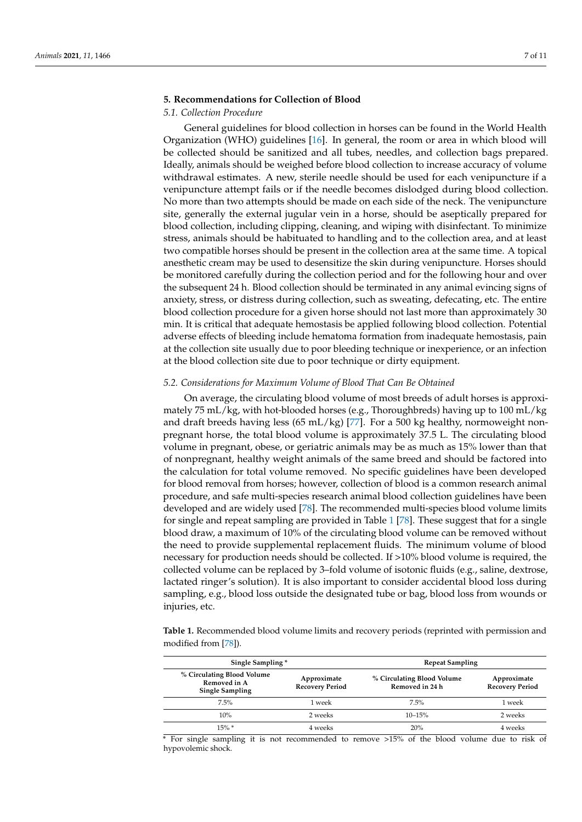# **5. Recommendations for Collection of Blood**

# *5.1. Collection Procedure*

General guidelines for blood collection in horses can be found in the World Health Organization (WHO) guidelines [\[16\]](#page-8-6). In general, the room or area in which blood will be collected should be sanitized and all tubes, needles, and collection bags prepared. Ideally, animals should be weighed before blood collection to increase accuracy of volume withdrawal estimates. A new, sterile needle should be used for each venipuncture if a venipuncture attempt fails or if the needle becomes dislodged during blood collection. No more than two attempts should be made on each side of the neck. The venipuncture site, generally the external jugular vein in a horse, should be aseptically prepared for blood collection, including clipping, cleaning, and wiping with disinfectant. To minimize stress, animals should be habituated to handling and to the collection area, and at least two compatible horses should be present in the collection area at the same time. A topical anesthetic cream may be used to desensitize the skin during venipuncture. Horses should be monitored carefully during the collection period and for the following hour and over the subsequent 24 h. Blood collection should be terminated in any animal evincing signs of anxiety, stress, or distress during collection, such as sweating, defecating, etc. The entire blood collection procedure for a given horse should not last more than approximately 30 min. It is critical that adequate hemostasis be applied following blood collection. Potential adverse effects of bleeding include hematoma formation from inadequate hemostasis, pain at the collection site usually due to poor bleeding technique or inexperience, or an infection at the blood collection site due to poor technique or dirty equipment.

# *5.2. Considerations for Maximum Volume of Blood That Can Be Obtained*

On average, the circulating blood volume of most breeds of adult horses is approximately 75 mL/kg, with hot-blooded horses (e.g., Thoroughbreds) having up to 100 mL/kg and draft breeds having less  $(65 \text{ mL/kg})$  [\[77\]](#page-10-9). For a 500 kg healthy, normoweight nonpregnant horse, the total blood volume is approximately 37.5 L. The circulating blood volume in pregnant, obese, or geriatric animals may be as much as 15% lower than that of nonpregnant, healthy weight animals of the same breed and should be factored into the calculation for total volume removed. No specific guidelines have been developed for blood removal from horses; however, collection of blood is a common research animal procedure, and safe multi-species research animal blood collection guidelines have been developed and are widely used [\[78\]](#page-10-10). The recommended multi-species blood volume limits for single and repeat sampling are provided in Table [1](#page-6-0) [\[78\]](#page-10-10). These suggest that for a single blood draw, a maximum of 10% of the circulating blood volume can be removed without the need to provide supplemental replacement fluids. The minimum volume of blood necessary for production needs should be collected. If >10% blood volume is required, the collected volume can be replaced by 3–fold volume of isotonic fluids (e.g., saline, dextrose, lactated ringer's solution). It is also important to consider accidental blood loss during sampling, e.g., blood loss outside the designated tube or bag, blood loss from wounds or injuries, etc.

<span id="page-6-0"></span>**Table 1.** Recommended blood volume limits and recovery periods (reprinted with permission and modified from [\[78\]](#page-10-10)).

| Single Sampling*                                                     |                                       | <b>Repeat Sampling</b>                        |                                       |
|----------------------------------------------------------------------|---------------------------------------|-----------------------------------------------|---------------------------------------|
| % Circulating Blood Volume<br>Removed in A<br><b>Single Sampling</b> | Approximate<br><b>Recovery Period</b> | % Circulating Blood Volume<br>Removed in 24 h | Approximate<br><b>Recovery Period</b> |
| 7.5%                                                                 | 1 week                                | 7.5%                                          | 1 week                                |
| 10%                                                                  | 2 weeks                               | $10 - 15%$                                    | 2 weeks                               |
| $15\%$ *                                                             | 4 weeks                               | 20%                                           | 4 weeks                               |

\* For single sampling it is not recommended to remove >15% of the blood volume due to risk of hypovolemic shock.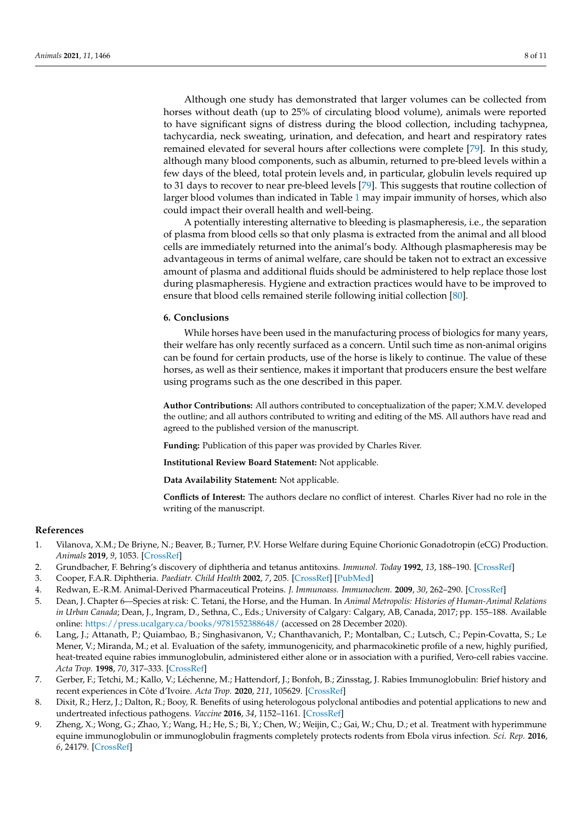Although one study has demonstrated that larger volumes can be collected from horses without death (up to 25% of circulating blood volume), animals were reported to have significant signs of distress during the blood collection, including tachypnea, tachycardia, neck sweating, urination, and defecation, and heart and respiratory rates remained elevated for several hours after collections were complete [\[79\]](#page-10-11). In this study, although many blood components, such as albumin, returned to pre-bleed levels within a few days of the bleed, total protein levels and, in particular, globulin levels required up to 31 days to recover to near pre-bleed levels [\[79\]](#page-10-11). This suggests that routine collection of larger blood volumes than indicated in Table [1](#page-6-0) may impair immunity of horses, which also could impact their overall health and well-being.

A potentially interesting alternative to bleeding is plasmapheresis, i.e., the separation of plasma from blood cells so that only plasma is extracted from the animal and all blood cells are immediately returned into the animal's body. Although plasmapheresis may be advantageous in terms of animal welfare, care should be taken not to extract an excessive amount of plasma and additional fluids should be administered to help replace those lost during plasmapheresis. Hygiene and extraction practices would have to be improved to ensure that blood cells remained sterile following initial collection [\[80\]](#page-10-12).

## **6. Conclusions**

While horses have been used in the manufacturing process of biologics for many years, their welfare has only recently surfaced as a concern. Until such time as non-animal origins can be found for certain products, use of the horse is likely to continue. The value of these horses, as well as their sentience, makes it important that producers ensure the best welfare using programs such as the one described in this paper.

**Author Contributions:** All authors contributed to conceptualization of the paper; X.M.V. developed the outline; and all authors contributed to writing and editing of the MS. All authors have read and agreed to the published version of the manuscript.

**Funding:** Publication of this paper was provided by Charles River.

**Institutional Review Board Statement:** Not applicable.

**Data Availability Statement:** Not applicable.

**Conflicts of Interest:** The authors declare no conflict of interest. Charles River had no role in the writing of the manuscript.

#### **References**

- <span id="page-7-0"></span>1. Vilanova, X.M.; De Briyne, N.; Beaver, B.; Turner, P.V. Horse Welfare during Equine Chorionic Gonadotropin (eCG) Production. *Animals* **2019**, *9*, 1053. [\[CrossRef\]](http://doi.org/10.3390/ani9121053)
- <span id="page-7-1"></span>2. Grundbacher, F. Behring's discovery of diphtheria and tetanus antitoxins. *Immunol. Today* **1992**, *13*, 188–190. [\[CrossRef\]](http://doi.org/10.1016/0167-5699(92)90125-Q)
- <span id="page-7-2"></span>3. Cooper, F.A.R. Diphtheria. *Paediatr. Child Health* **2002**, *7*, 205. [\[CrossRef\]](http://doi.org/10.1093/pch/7.3.205) [\[PubMed\]](http://www.ncbi.nlm.nih.gov/pubmed/20046292)
- <span id="page-7-3"></span>4. Redwan, E.-R.M. Animal-Derived Pharmaceutical Proteins. *J. Immunoass. Immunochem.* **2009**, *30*, 262–290. [\[CrossRef\]](http://doi.org/10.1080/15321810903084400)
- <span id="page-7-4"></span>5. Dean, J. Chapter 6—Species at risk: C. Tetani, the Horse, and the Human. In *Animal Metropolis: Histories of Human-Animal Relations in Urban Canada*; Dean, J., Ingram, D., Sethna, C., Eds.; University of Calgary: Calgary, AB, Canada, 2017; pp. 155–188. Available online: <https://press.ucalgary.ca/books/9781552388648/> (accessed on 28 December 2020).
- <span id="page-7-5"></span>6. Lang, J.; Attanath, P.; Quiambao, B.; Singhasivanon, V.; Chanthavanich, P.; Montalban, C.; Lutsch, C.; Pepin-Covatta, S.; Le Mener, V.; Miranda, M.; et al. Evaluation of the safety, immunogenicity, and pharmacokinetic profile of a new, highly purified, heat-treated equine rabies immunoglobulin, administered either alone or in association with a purified, Vero-cell rabies vaccine. *Acta Trop.* **1998**, *70*, 317–333. [\[CrossRef\]](http://doi.org/10.1016/S0001-706X(98)00038-2)
- 7. Gerber, F.; Tetchi, M.; Kallo, V.; Léchenne, M.; Hattendorf, J.; Bonfoh, B.; Zinsstag, J. Rabies Immunoglobulin: Brief history and recent experiences in Côte d'Ivoire. *Acta Trop.* **2020**, *211*, 105629. [\[CrossRef\]](http://doi.org/10.1016/j.actatropica.2020.105629)
- <span id="page-7-6"></span>8. Dixit, R.; Herz, J.; Dalton, R.; Booy, R. Benefits of using heterologous polyclonal antibodies and potential applications to new and undertreated infectious pathogens. *Vaccine* **2016**, *34*, 1152–1161. [\[CrossRef\]](http://doi.org/10.1016/j.vaccine.2016.01.016)
- <span id="page-7-7"></span>9. Zheng, X.; Wong, G.; Zhao, Y.; Wang, H.; He, S.; Bi, Y.; Chen, W.; Weijin, C.; Gai, W.; Chu, D.; et al. Treatment with hyperimmune equine immunoglobulin or immunoglobulin fragments completely protects rodents from Ebola virus infection. *Sci. Rep.* **2016**, *6*, 24179. [\[CrossRef\]](http://doi.org/10.1038/srep24179)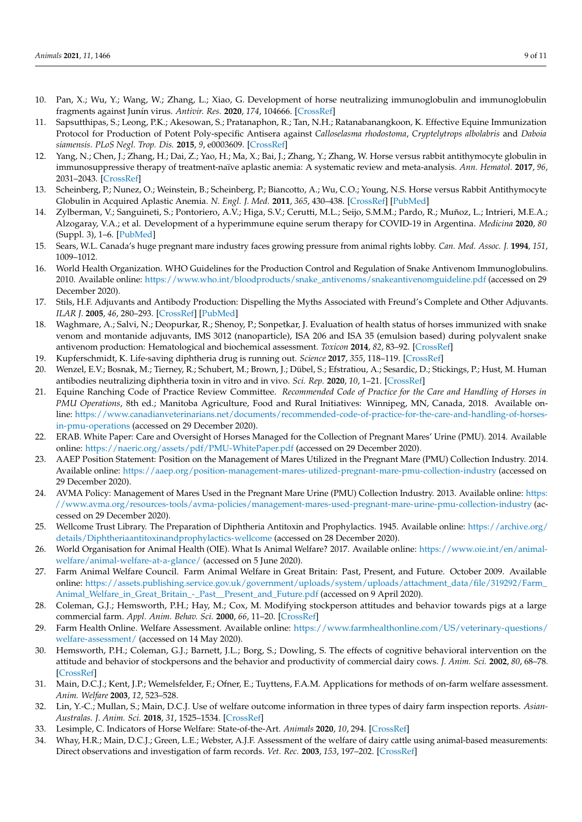- <span id="page-8-0"></span>10. Pan, X.; Wu, Y.; Wang, W.; Zhang, L.; Xiao, G. Development of horse neutralizing immunoglobulin and immunoglobulin fragments against Junín virus. *Antivir. Res.* **2020**, *174*, 104666. [\[CrossRef\]](http://doi.org/10.1016/j.antiviral.2019.104666)
- <span id="page-8-1"></span>11. Sapsutthipas, S.; Leong, P.K.; Akesowan, S.; Pratanaphon, R.; Tan, N.H.; Ratanabanangkoon, K. Effective Equine Immunization Protocol for Production of Potent Poly-specific Antisera against *Calloselasma rhodostoma*, *Cryptelytrops albolabris* and *Daboia siamensis*. *PLoS Negl. Trop. Dis.* **2015**, *9*, e0003609. [\[CrossRef\]](http://doi.org/10.1371/journal.pntd.0003609)
- <span id="page-8-2"></span>12. Yang, N.; Chen, J.; Zhang, H.; Dai, Z.; Yao, H.; Ma, X.; Bai, J.; Zhang, Y.; Zhang, W. Horse versus rabbit antithymocyte globulin in immunosuppressive therapy of treatment-naïve aplastic anemia: A systematic review and meta-analysis. *Ann. Hematol.* **2017**, *96*, 2031–2043. [\[CrossRef\]](http://doi.org/10.1007/s00277-017-3136-1)
- <span id="page-8-3"></span>13. Scheinberg, P.; Nunez, O.; Weinstein, B.; Scheinberg, P.; Biancotto, A.; Wu, C.O.; Young, N.S. Horse versus Rabbit Antithymocyte Globulin in Acquired Aplastic Anemia. *N. Engl. J. Med.* **2011**, *365*, 430–438. [\[CrossRef\]](http://doi.org/10.1056/NEJMoa1103975) [\[PubMed\]](http://www.ncbi.nlm.nih.gov/pubmed/21812672)
- <span id="page-8-4"></span>14. Zylberman, V.; Sanguineti, S.; Pontoriero, A.V.; Higa, S.V.; Cerutti, M.L.; Seijo, S.M.M.; Pardo, R.; Muñoz, L.; Intrieri, M.E.A.; Alzogaray, V.A.; et al. Development of a hyperimmune equine serum therapy for COVID-19 in Argentina. *Medicina* **2020**, *80* (Suppl. 3), 1–6. [\[PubMed\]](http://www.ncbi.nlm.nih.gov/pubmed/32658841)
- <span id="page-8-5"></span>15. Sears, W.L. Canada's huge pregnant mare industry faces growing pressure from animal rights lobby. *Can. Med. Assoc. J.* **1994**, *151*, 1009–1012.
- <span id="page-8-6"></span>16. World Health Organization. WHO Guidelines for the Production Control and Regulation of Snake Antivenom Immunoglobulins. 2010. Available online: [https://www.who.int/bloodproducts/snake\\_antivenoms/snakeantivenomguideline.pdf](https://www.who.int/bloodproducts/snake_antivenoms/snakeantivenomguideline.pdf) (accessed on 29 December 2020).
- <span id="page-8-7"></span>17. Stils, H.F. Adjuvants and Antibody Production: Dispelling the Myths Associated with Freund's Complete and Other Adjuvants. *ILAR J.* **2005**, *46*, 280–293. [\[CrossRef\]](http://doi.org/10.1093/ilar.46.3.280) [\[PubMed\]](http://www.ncbi.nlm.nih.gov/pubmed/15953835)
- <span id="page-8-8"></span>18. Waghmare, A.; Salvi, N.; Deopurkar, R.; Shenoy, P.; Sonpetkar, J. Evaluation of health status of horses immunized with snake venom and montanide adjuvants, IMS 3012 (nanoparticle), ISA 206 and ISA 35 (emulsion based) during polyvalent snake antivenom production: Hematological and biochemical assessment. *Toxicon* **2014**, *82*, 83–92. [\[CrossRef\]](http://doi.org/10.1016/j.toxicon.2014.02.012)
- <span id="page-8-9"></span>19. Kupferschmidt, K. Life-saving diphtheria drug is running out. *Science* **2017**, *355*, 118–119. [\[CrossRef\]](http://doi.org/10.1126/science.355.6321.118)
- <span id="page-8-10"></span>20. Wenzel, E.V.; Bosnak, M.; Tierney, R.; Schubert, M.; Brown, J.; Dübel, S.; Efstratiou, A.; Sesardic, D.; Stickings, P.; Hust, M. Human antibodies neutralizing diphtheria toxin in vitro and in vivo. *Sci. Rep.* **2020**, *10*, 1–21. [\[CrossRef\]](http://doi.org/10.1038/s41598-019-57103-5)
- <span id="page-8-11"></span>21. Equine Ranching Code of Practice Review Committee. *Recommended Code of Practice for the Care and Handling of Horses in PMU Operations*, 8th ed.; Manitoba Agriculture, Food and Rural Initiatives: Winnipeg, MN, Canada, 2018. Available online: [https://www.canadianveterinarians.net/documents/recommended-code-of-practice-for-the-care-and-handling-of-horses](https://www.canadianveterinarians.net/documents/recommended-code-of-practice-for-the-care-and-handling-of-horses-in-pmu-operations)[in-pmu-operations](https://www.canadianveterinarians.net/documents/recommended-code-of-practice-for-the-care-and-handling-of-horses-in-pmu-operations) (accessed on 29 December 2020).
- <span id="page-8-12"></span>22. ERAB. White Paper: Care and Oversight of Horses Managed for the Collection of Pregnant Mares' Urine (PMU). 2014. Available online: <https://naeric.org/assets/pdf/PMU-WhitePaper.pdf> (accessed on 29 December 2020).
- <span id="page-8-13"></span>23. AAEP Position Statement: Position on the Management of Mares Utilized in the Pregnant Mare (PMU) Collection Industry. 2014. Available online: <https://aaep.org/position-management-mares-utilized-pregnant-mare-pmu-collection-industry> (accessed on 29 December 2020).
- <span id="page-8-14"></span>24. AVMA Policy: Management of Mares Used in the Pregnant Mare Urine (PMU) Collection Industry. 2013. Available online: [https:](https://www.avma.org/resources-tools/avma-policies/management-mares-used-pregnant-mare-urine-pmu-collection-industry) [//www.avma.org/resources-tools/avma-policies/management-mares-used-pregnant-mare-urine-pmu-collection-industry](https://www.avma.org/resources-tools/avma-policies/management-mares-used-pregnant-mare-urine-pmu-collection-industry) (accessed on 29 December 2020).
- <span id="page-8-15"></span>25. Wellcome Trust Library. The Preparation of Diphtheria Antitoxin and Prophylactics. 1945. Available online: [https://archive.org/](https://archive.org/details/Diphtheriaantitoxinandprophylactics-wellcome) [details/Diphtheriaantitoxinandprophylactics-wellcome](https://archive.org/details/Diphtheriaantitoxinandprophylactics-wellcome) (accessed on 28 December 2020).
- <span id="page-8-16"></span>26. World Organisation for Animal Health (OIE). What Is Animal Welfare? 2017. Available online: [https://www.oie.int/en/animal](https://www.oie.int/en/animal-welfare/animal-welfare-at-a-glance/)[welfare/animal-welfare-at-a-glance/](https://www.oie.int/en/animal-welfare/animal-welfare-at-a-glance/) (accessed on 5 June 2020).
- <span id="page-8-17"></span>27. Farm Animal Welfare Council. Farm Animal Welfare in Great Britain: Past, Present, and Future. October 2009. Available online: [https://assets.publishing.service.gov.uk/government/uploads/system/uploads/attachment\\_data/file/319292/Farm\\_](https://assets.publishing.service.gov.uk/government/uploads/system/uploads/attachment_data/file/319292/Farm_Animal_Welfare_in_Great_Britain_-_Past__Present_and_Future.pdf) [Animal\\_Welfare\\_in\\_Great\\_Britain\\_-\\_Past\\_\\_Present\\_and\\_Future.pdf](https://assets.publishing.service.gov.uk/government/uploads/system/uploads/attachment_data/file/319292/Farm_Animal_Welfare_in_Great_Britain_-_Past__Present_and_Future.pdf) (accessed on 9 April 2020).
- <span id="page-8-18"></span>28. Coleman, G.J.; Hemsworth, P.H.; Hay, M.; Cox, M. Modifying stockperson attitudes and behavior towards pigs at a large commercial farm. *Appl. Anim. Behav. Sci.* **2000**, *66*, 11–20. [\[CrossRef\]](http://doi.org/10.1016/S0168-1591(99)00073-8)
- <span id="page-8-21"></span>29. Farm Health Online. Welfare Assessment. Available online: [https://www.farmhealthonline.com/US/veterinary-questions/](https://www.farmhealthonline.com/US/veterinary-questions/welfare-assessment/) [welfare-assessment/](https://www.farmhealthonline.com/US/veterinary-questions/welfare-assessment/) (accessed on 14 May 2020).
- 30. Hemsworth, P.H.; Coleman, G.J.; Barnett, J.L.; Borg, S.; Dowling, S. The effects of cognitive behavioral intervention on the attitude and behavior of stockpersons and the behavior and productivity of commercial dairy cows. *J. Anim. Sci.* **2002**, *80*, 68–78. [\[CrossRef\]](http://doi.org/10.2527/2002.80168x)
- <span id="page-8-19"></span>31. Main, D.C.J.; Kent, J.P.; Wemelsfelder, F.; Ofner, E.; Tuyttens, F.A.M. Applications for methods of on-farm welfare assessment. *Anim. Welfare* **2003**, *12*, 523–528.
- <span id="page-8-20"></span>32. Lin, Y.-C.; Mullan, S.; Main, D.C.J. Use of welfare outcome information in three types of dairy farm inspection reports. *Asian-Australas. J. Anim. Sci.* **2018**, *31*, 1525–1534. [\[CrossRef\]](http://doi.org/10.5713/ajas.17.0851)
- <span id="page-8-22"></span>33. Lesimple, C. Indicators of Horse Welfare: State-of-the-Art. *Animals* **2020**, *10*, 294. [\[CrossRef\]](http://doi.org/10.3390/ani10020294)
- <span id="page-8-23"></span>34. Whay, H.R.; Main, D.C.J.; Green, L.E.; Webster, A.J.F. Assessment of the welfare of dairy cattle using animal-based measurements: Direct observations and investigation of farm records. *Vet. Rec.* **2003**, *153*, 197–202. [\[CrossRef\]](http://doi.org/10.1136/vr.153.7.197)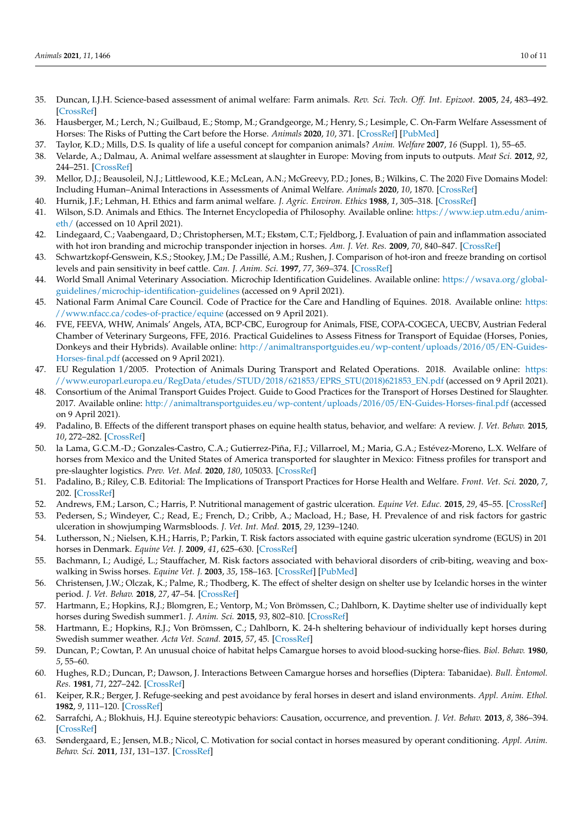- <span id="page-9-0"></span>35. Duncan, I.J.H. Science-based assessment of animal welfare: Farm animals. *Rev. Sci. Tech. Off. Int. Epizoot.* **2005**, *24*, 483–492. [\[CrossRef\]](http://doi.org/10.20506/rst.24.2.1587)
- 36. Hausberger, M.; Lerch, N.; Guilbaud, E.; Stomp, M.; Grandgeorge, M.; Henry, S.; Lesimple, C. On-Farm Welfare Assessment of Horses: The Risks of Putting the Cart before the Horse. *Animals* **2020**, *10*, 371. [\[CrossRef\]](http://doi.org/10.3390/ani10030371) [\[PubMed\]](http://www.ncbi.nlm.nih.gov/pubmed/32106531)
- 37. Taylor, K.D.; Mills, D.S. Is quality of life a useful concept for companion animals? *Anim. Welfare* **2007**, *16* (Suppl. 1), 55–65.
- <span id="page-9-1"></span>38. Velarde, A.; Dalmau, A. Animal welfare assessment at slaughter in Europe: Moving from inputs to outputs. *Meat Sci.* **2012**, *92*, 244–251. [\[CrossRef\]](http://doi.org/10.1016/j.meatsci.2012.04.009)
- <span id="page-9-2"></span>39. Mellor, D.J.; Beausoleil, N.J.; Littlewood, K.E.; McLean, A.N.; McGreevy, P.D.; Jones, B.; Wilkins, C. The 2020 Five Domains Model: Including Human–Animal Interactions in Assessments of Animal Welfare. *Animals* **2020**, *10*, 1870. [\[CrossRef\]](http://doi.org/10.3390/ani10101870)
- <span id="page-9-3"></span>40. Hurnik, J.F.; Lehman, H. Ethics and farm animal welfare. *J. Agric. Environ. Ethics* **1988**, *1*, 305–318. [\[CrossRef\]](http://doi.org/10.1007/BF01826794)
- <span id="page-9-4"></span>41. Wilson, S.D. Animals and Ethics. The Internet Encyclopedia of Philosophy. Available online: [https://www.iep.utm.edu/anim](https://www.iep.utm.edu/anim-eth/)[eth/](https://www.iep.utm.edu/anim-eth/) (accessed on 10 April 2021).
- <span id="page-9-5"></span>42. Lindegaard, C.; Vaabengaard, D.; Christophersen, M.T.; Ekstøm, C.T.; Fjeldborg, J. Evaluation of pain and inflammation associated with hot iron branding and microchip transponder injection in horses. *Am. J. Vet. Res.* **2009**, *70*, 840–847. [\[CrossRef\]](http://doi.org/10.2460/ajvr.70.7.840)
- <span id="page-9-6"></span>43. Schwartzkopf-Genswein, K.S.; Stookey, J.M.; De Passillé, A.M.; Rushen, J. Comparison of hot-iron and freeze branding on cortisol levels and pain sensitivity in beef cattle. *Can. J. Anim. Sci.* **1997**, *77*, 369–374. [\[CrossRef\]](http://doi.org/10.4141/A96-127)
- <span id="page-9-7"></span>44. World Small Animal Veterinary Association. Microchip Identification Guidelines. Available online: [https://wsava.org/global](https://wsava.org/global-guidelines/microchip-identification-guidelines)[guidelines/microchip-identification-guidelines](https://wsava.org/global-guidelines/microchip-identification-guidelines) (accessed on 9 April 2021).
- <span id="page-9-8"></span>45. National Farm Animal Care Council. Code of Practice for the Care and Handling of Equines. 2018. Available online: [https:](https://www.nfacc.ca/codes-of-practice/equine) [//www.nfacc.ca/codes-of-practice/equine](https://www.nfacc.ca/codes-of-practice/equine) (accessed on 9 April 2021).
- <span id="page-9-9"></span>46. FVE, FEEVA, WHW, Animals' Angels, ATA, BCP-CBC, Eurogroup for Animals, FISE, COPA-COGECA, UECBV, Austrian Federal Chamber of Veterinary Surgeons, FFE, 2016. Practical Guidelines to Assess Fitness for Transport of Equidae (Horses, Ponies, Donkeys and their Hybrids). Available online: [http://animaltransportguides.eu/wp-content/uploads/2016/05/EN-Guides-](http://animaltransportguides.eu/wp-content/uploads/2016/05/EN-Guides-Horses-final.pdf)[Horses-final.pdf](http://animaltransportguides.eu/wp-content/uploads/2016/05/EN-Guides-Horses-final.pdf) (accessed on 9 April 2021).
- 47. EU Regulation 1/2005. Protection of Animals During Transport and Related Operations. 2018. Available online: [https:](https://www.europarl.europa.eu/RegData/etudes/STUD/2018/621853/EPRS_STU(2018)621853_EN.pdf) [//www.europarl.europa.eu/RegData/etudes/STUD/2018/621853/EPRS\\_STU\(2018\)621853\\_EN.pdf](https://www.europarl.europa.eu/RegData/etudes/STUD/2018/621853/EPRS_STU(2018)621853_EN.pdf) (accessed on 9 April 2021).
- 48. Consortium of the Animal Transport Guides Project. Guide to Good Practices for the Transport of Horses Destined for Slaughter. 2017. Available online: <http://animaltransportguides.eu/wp-content/uploads/2016/05/EN-Guides-Horses-final.pdf> (accessed on 9 April 2021).
- 49. Padalino, B. Effects of the different transport phases on equine health status, behavior, and welfare: A review. *J. Vet. Behav.* **2015**, *10*, 272–282. [\[CrossRef\]](http://doi.org/10.1016/j.jveb.2015.02.002)
- 50. la Lama, G.C.M.-D.; Gonzales-Castro, C.A.; Gutierrez-Piña, F.J.; Villarroel, M.; Maria, G.A.; Estévez-Moreno, L.X. Welfare of horses from Mexico and the United States of America transported for slaughter in Mexico: Fitness profiles for transport and pre-slaughter logistics. *Prev. Vet. Med.* **2020**, *180*, 105033. [\[CrossRef\]](http://doi.org/10.1016/j.prevetmed.2020.105033)
- <span id="page-9-10"></span>51. Padalino, B.; Riley, C.B. Editorial: The Implications of Transport Practices for Horse Health and Welfare. *Front. Vet. Sci.* **2020**, *7*, 202. [\[CrossRef\]](http://doi.org/10.3389/fvets.2020.00202)
- <span id="page-9-11"></span>52. Andrews, F.M.; Larson, C.; Harris, P. Nutritional management of gastric ulceration. *Equine Vet. Educ.* **2015**, *29*, 45–55. [\[CrossRef\]](http://doi.org/10.1111/eve.12495)
- 53. Pedersen, S.; Windeyer, C.; Read, E.; French, D.; Cribb, A.; Macload, H.; Base, H. Prevalence of and risk factors for gastric ulceration in showjumping Warmsbloods. *J. Vet. Int. Med.* **2015**, *29*, 1239–1240.
- 54. Luthersson, N.; Nielsen, K.H.; Harris, P.; Parkin, T. Risk factors associated with equine gastric ulceration syndrome (EGUS) in 201 horses in Denmark. *Equine Vet. J.* **2009**, *41*, 625–630. [\[CrossRef\]](http://doi.org/10.2746/042516409X441929)
- <span id="page-9-12"></span>55. Bachmann, I.; Audigé, L.; Stauffacher, M. Risk factors associated with behavioral disorders of crib-biting, weaving and boxwalking in Swiss horses. *Equine Vet. J.* **2003**, *35*, 158–163. [\[CrossRef\]](http://doi.org/10.2746/042516403776114216) [\[PubMed\]](http://www.ncbi.nlm.nih.gov/pubmed/12638792)
- <span id="page-9-13"></span>56. Christensen, J.W.; Olczak, K.; Palme, R.; Thodberg, K. The effect of shelter design on shelter use by Icelandic horses in the winter period. *J. Vet. Behav.* **2018**, *27*, 47–54. [\[CrossRef\]](http://doi.org/10.1016/j.jveb.2018.07.006)
- 57. Hartmann, E.; Hopkins, R.J.; Blomgren, E.; Ventorp, M.; Von Brömssen, C.; Dahlborn, K. Daytime shelter use of individually kept horses during Swedish summer1. *J. Anim. Sci.* **2015**, *93*, 802–810. [\[CrossRef\]](http://doi.org/10.2527/jas.2014-8598)
- 58. Hartmann, E.; Hopkins, R.J.; Von Brömssen, C.; Dahlborn, K. 24-h sheltering behaviour of individually kept horses during Swedish summer weather. *Acta Vet. Scand.* **2015**, *57*, 45. [\[CrossRef\]](http://doi.org/10.1186/s13028-015-0135-x)
- 59. Duncan, P.; Cowtan, P. An unusual choice of habitat helps Camargue horses to avoid blood-sucking horse-flies. *Biol. Behav.* **1980**, *5*, 55–60.
- 60. Hughes, R.D.; Duncan, P.; Dawson, J. Interactions Between Camargue horses and horseflies (Diptera: Tabanidae). *Bull. Èntomol. Res.* **1981**, *71*, 227–242. [\[CrossRef\]](http://doi.org/10.1017/S0007485300008257)
- <span id="page-9-14"></span>61. Keiper, R.R.; Berger, J. Refuge-seeking and pest avoidance by feral horses in desert and island environments. *Appl. Anim. Ethol.* **1982**, *9*, 111–120. [\[CrossRef\]](http://doi.org/10.1016/0304-3762(82)90187-0)
- <span id="page-9-15"></span>62. Sarrafchi, A.; Blokhuis, H.J. Equine stereotypic behaviors: Causation, occurrence, and prevention. *J. Vet. Behav.* **2013**, *8*, 386–394. [\[CrossRef\]](http://doi.org/10.1016/j.jveb.2013.04.068)
- 63. Søndergaard, E.; Jensen, M.B.; Nicol, C. Motivation for social contact in horses measured by operant conditioning. *Appl. Anim. Behav. Sci.* **2011**, *131*, 131–137. [\[CrossRef\]](http://doi.org/10.1016/j.applanim.2011.04.007)